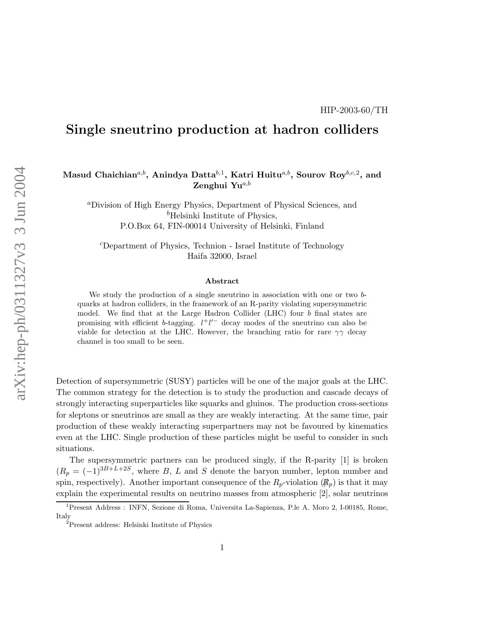# Single sneutrino production at hadron colliders

### Masud Chaichian $^{a,b},$  Anindya Datta $^{b,1},$  Katri Huitu $^{a,b},$  Sourov Roy $^{b,c,2},$  and Zenghui Yu $a,b$

<sup>a</sup>Division of High Energy Physics, Department of Physical Sciences, and  $<sup>b</sup>$ Helsinki Institute of Physics,</sup> P.O.Box 64, FIN-00014 University of Helsinki, Finland

<sup>c</sup>Department of Physics, Technion - Israel Institute of Technology Haifa 32000, Israel

#### Abstract

We study the production of a single sneutrino in association with one or two bquarks at hadron colliders, in the framework of an R-parity violating supersymmetric model. We find that at the Large Hadron Collider (LHC) four b final states are promising with efficient b-tagging.  $l^+l'^-$  decay modes of the sneutrino can also be viable for detection at the LHC. However, the branching ratio for rare  $\gamma\gamma$  decay channel is too small to be seen.

Detection of supersymmetric (SUSY) particles will be one of the major goals at the LHC. The common strategy for the detection is to study the production and cascade decays of strongly interacting superparticles like squarks and gluinos. The production cross-sections for sleptons or sneutrinos are small as they are weakly interacting. At the same time, pair production of these weakly interacting superpartners may not be favoured by kinematics even at the LHC. Single production of these particles might be useful to consider in such situations.

The supersymmetric partners can be produced singly, if the R-parity [1] is broken  $(R_p = (-1)^{3B+L+2S}$ , where B, L and S denote the baryon number, lepton number and spin, respectively). Another important consequence of the  $R_p$ -violation  $(\mathcal{R}_p)$  is that it may explain the experimental results on neutrino masses from atmospheric [2], solar neutrinos

<sup>1</sup>Present Address : INFN, Sezione di Roma, Universita La-Sapienza, P.le A. Moro 2, I-00185, Rome, Italy

<sup>2</sup>Present address: Helsinki Institute of Physics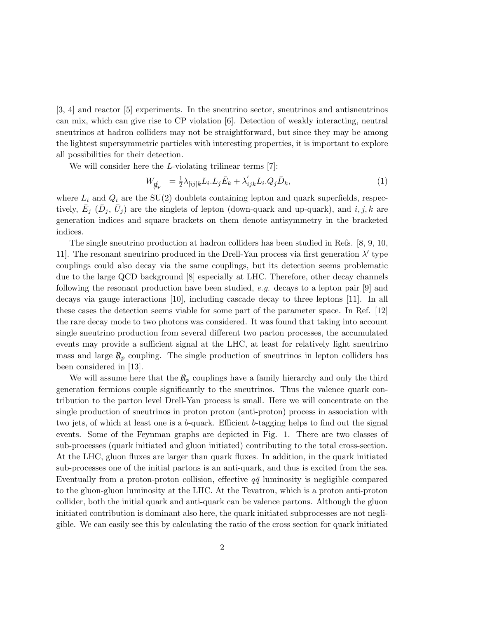[3, 4] and reactor [5] experiments. In the sneutrino sector, sneutrinos and antisneutrinos can mix, which can give rise to CP violation [6]. Detection of weakly interacting, neutral sneutrinos at hadron colliders may not be straightforward, but since they may be among the lightest supersymmetric particles with interesting properties, it is important to explore all possibilities for their detection.

We will consider here the *L*-violating trilinear terms [7]:

$$
W_{\vec{R}_p} = \frac{1}{2} \lambda_{[ij]k} L_i L_j \bar{E}_k + \lambda'_{ijk} L_i Q_j \bar{D}_k, \qquad (1)
$$

where  $L_i$  and  $Q_i$  are the SU(2) doublets containing lepton and quark superfields, respectively,  $\bar{E}_j$  ( $\bar{D}_j$ ,  $\bar{U}_j$ ) are the singlets of lepton (down-quark and up-quark), and  $i, j, k$  are generation indices and square brackets on them denote antisymmetry in the bracketed indices.

The single sneutrino production at hadron colliders has been studied in Refs. [8, 9, 10, 11]. The resonant sneutrino produced in the Drell-Yan process via first generation  $\lambda'$  type couplings could also decay via the same couplings, but its detection seems problematic due to the large QCD background [8] especially at LHC. Therefore, other decay channels following the resonant production have been studied, e.g. decays to a lepton pair  $[9]$  and decays via gauge interactions  $[10]$ , including cascade decay to three leptons  $[11]$ . In all these cases the detection seems viable for some part of the parameter space. In Ref. [12] the rare decay mode to two photons was considered. It was found that taking into account single sneutrino production from several different two parton processes, the accumulated events may provide a sufficient signal at the LHC, at least for relatively light sneutrino mass and large  $R_p$  coupling. The single production of sneutrinos in lepton colliders has been considered in [13].

We will assume here that the  $R_p$  couplings have a family hierarchy and only the third generation fermions couple significantly to the sneutrinos. Thus the valence quark contribution to the parton level Drell-Yan process is small. Here we will concentrate on the single production of sneutrinos in proton proton (anti-proton) process in association with two jets, of which at least one is a b-quark. Efficient b-tagging helps to find out the signal events. Some of the Feynman graphs are depicted in Fig. 1. There are two classes of sub-processes (quark initiated and gluon initiated) contributing to the total cross-section. At the LHC, gluon fluxes are larger than quark fluxes. In addition, in the quark initiated sub-processes one of the initial partons is an anti-quark, and thus is excited from the sea. Eventually from a proton-proton collision, effective  $q\bar{q}$  luminosity is negligible compared to the gluon-gluon luminosity at the LHC. At the Tevatron, which is a proton anti-proton collider, both the initial quark and anti-quark can be valence partons. Although the gluon initiated contribution is dominant also here, the quark initiated subprocesses are not negligible. We can easily see this by calculating the ratio of the cross section for quark initiated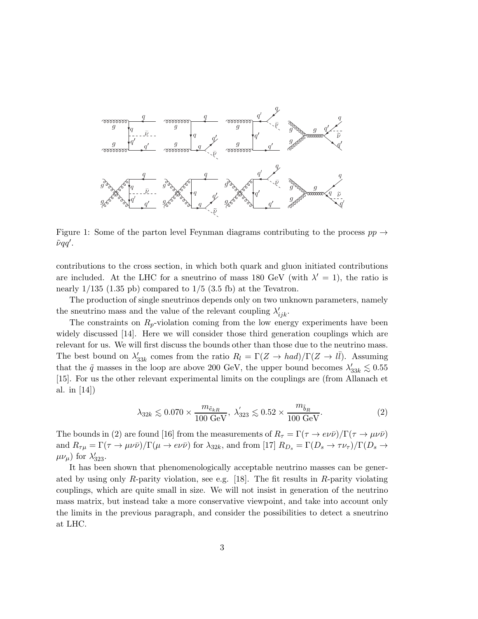

Figure 1: Some of the parton level Feynman diagrams contributing to the process  $pp \rightarrow$  $\tilde{\nu} \tilde{q} q'$  .

contributions to the cross section, in which both quark and gluon initiated contributions are included. At the LHC for a sneutrino of mass 180 GeV (with  $\lambda' = 1$ ), the ratio is nearly  $1/135$  (1.35 pb) compared to  $1/5$  (3.5 fb) at the Tevatron.

The production of single sneutrinos depends only on two unknown parameters, namely the sneutrino mass and the value of the relevant coupling  $\lambda'_{ijk}$ .

The constraints on  $R_p$ -violation coming from the low energy experiments have been widely discussed [14]. Here we will consider those third generation couplings which are relevant for us. We will first discuss the bounds other than those due to the neutrino mass. The best bound on  $\lambda'$  $S_{33k}$  comes from the ratio  $R_l = \Gamma(Z \to had)/\Gamma(Z \to l\bar{l})$ . Assuming that the  $\tilde{q}$  masses in the loop are above 200 GeV, the upper bound becomes  $\lambda'$  $\frac{7}{33k}$  ≤ 0.55 [15]. For us the other relevant experimental limits on the couplings are (from Allanach et al. in [14])

$$
\lambda_{32k} \lesssim 0.070 \times \frac{m_{\tilde{e}_{kR}}}{100 \text{ GeV}}, \ \lambda'_{323} \lesssim 0.52 \times \frac{m_{\tilde{b}_R}}{100 \text{ GeV}}.\tag{2}
$$

The bounds in (2) are found [16] from the measurements of  $R_{\tau} = \Gamma(\tau \to e\nu\bar{\nu})/\Gamma(\tau \to \mu\nu\bar{\nu})$ and  $R_{\tau\mu} = \Gamma(\tau \to \mu\nu\bar{\nu})/\Gamma(\mu \to e\nu\bar{\nu})$  for  $\lambda_{32k}$ , and from [17]  $R_{Ds} = \Gamma(D_s \to \tau\nu_{\tau})/\Gamma(D_s \to \tau\nu_{\tau})$  $\mu\nu_{\mu}$ ) for  $\lambda'_{323}$ .

It has been shown that phenomenologically acceptable neutrino masses can be generated by using only R-parity violation, see e.g. [18]. The fit results in R-parity violating couplings, which are quite small in size. We will not insist in generation of the neutrino mass matrix, but instead take a more conservative viewpoint, and take into account only the limits in the previous paragraph, and consider the possibilities to detect a sneutrino at LHC.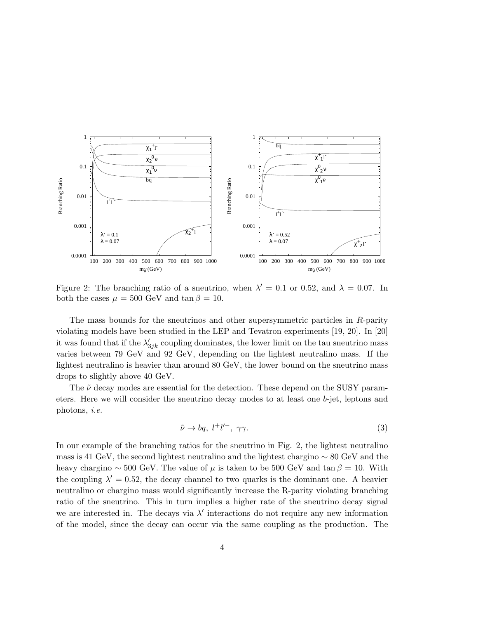

Figure 2: The branching ratio of a sneutrino, when  $\lambda' = 0.1$  or 0.52, and  $\lambda = 0.07$ . In both the cases  $\mu = 500$  GeV and tan  $\beta = 10$ .

The mass bounds for the sneutrinos and other supersymmetric particles in R-parity violating models have been studied in the LEP and Tevatron experiments [19, 20]. In [20] it was found that if the  $\lambda'_{3jk}$  coupling dominates, the lower limit on the tau sneutrino mass varies between 79 GeV and 92 GeV, depending on the lightest neutralino mass. If the lightest neutralino is heavier than around 80 GeV, the lower bound on the sneutrino mass drops to slightly above 40 GeV.

The  $\tilde{\nu}$  decay modes are essential for the detection. These depend on the SUSY parameters. Here we will consider the sneutrino decay modes to at least one b-jet, leptons and photons, i.e.

$$
\tilde{\nu} \to bq, \ l^+l'^-, \ \gamma \gamma. \tag{3}
$$

In our example of the branching ratios for the sneutrino in Fig. 2, the lightest neutralino mass is 41 GeV, the second lightest neutralino and the lightest chargino ∼ 80 GeV and the heavy chargino ~ 500 GeV. The value of  $\mu$  is taken to be 500 GeV and tan  $\beta = 10$ . With the coupling  $\lambda' = 0.52$ , the decay channel to two quarks is the dominant one. A heavier neutralino or chargino mass would significantly increase the R-parity violating branching ratio of the sneutrino. This in turn implies a higher rate of the sneutrino decay signal we are interested in. The decays via  $\lambda'$  interactions do not require any new information of the model, since the decay can occur via the same coupling as the production. The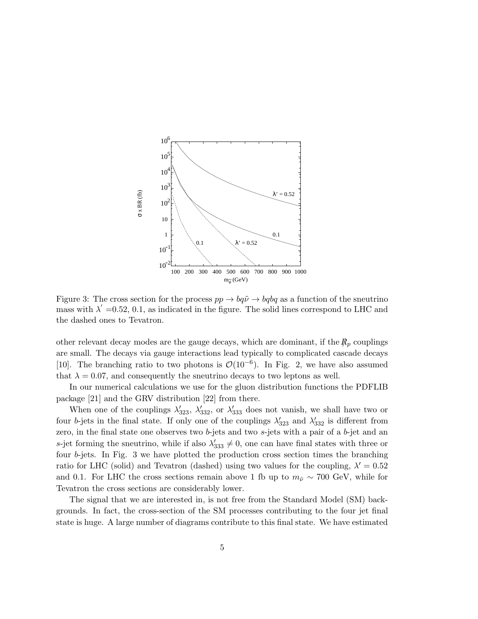

Figure 3: The cross section for the process  $pp \to bq\tilde{\nu} \to bqbq$  as a function of the sneutrino mass with  $\lambda' = 0.52, 0.1$ , as indicated in the figure. The solid lines correspond to LHC and the dashed ones to Tevatron.

other relevant decay modes are the gauge decays, which are dominant, if the  $R_p$  couplings are small. The decays via gauge interactions lead typically to complicated cascade decays [10]. The branching ratio to two photons is  $\mathcal{O}(10^{-6})$ . In Fig. 2, we have also assumed that  $\lambda = 0.07$ , and consequently the sneutrino decays to two leptons as well.

In our numerical calculations we use for the gluon distribution functions the PDFLIB package [21] and the GRV distribution [22] from there.

When one of the couplings  $\lambda'_{323}$ ,  $\lambda'_{332}$ , or  $\lambda'_{333}$  does not vanish, we shall have two or four b-jets in the final state. If only one of the couplings  $\lambda'_{323}$  and  $\lambda'_{332}$  is different from zero, in the final state one observes two b-jets and two  $s$ -jets with a pair of a b-jet and an s-jet forming the sneutrino, while if also  $\lambda'_{333} \neq 0$ , one can have final states with three or four b-jets. In Fig. 3 we have plotted the production cross section times the branching ratio for LHC (solid) and Tevatron (dashed) using two values for the coupling,  $\lambda' = 0.52$ and 0.1. For LHC the cross sections remain above 1 fb up to  $m_{\tilde{\nu}} \sim 700 \text{ GeV}$ , while for Tevatron the cross sections are considerably lower.

The signal that we are interested in, is not free from the Standard Model (SM) backgrounds. In fact, the cross-section of the SM processes contributing to the four jet final state is huge. A large number of diagrams contribute to this final state. We have estimated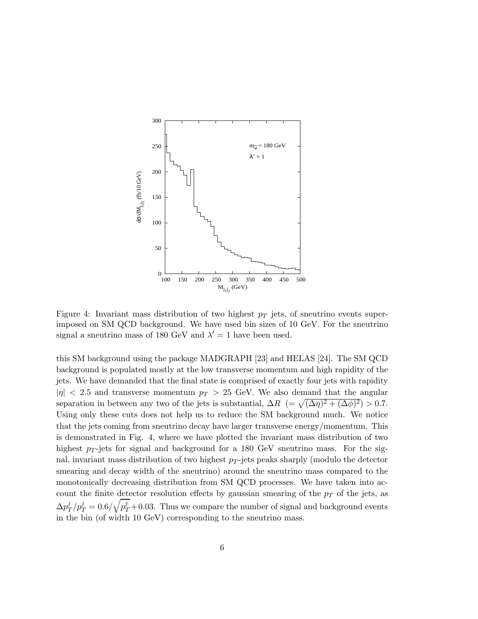

Figure 4: Invariant mass distribution of two highest  $p_T$  jets, of sneutrino events superimposed on SM QCD background. We have used bin sizes of 10 GeV. For the sneutrino signal a sneutrino mass of 180 GeV and  $\lambda' = 1$  have been used.

this SM background using the package MADGRAPH [23] and HELAS [24]. The SM QCD background is populated mostly at the low transverse momentum and high rapidity of the jets. We have demanded that the final state is comprised of exactly four jets with rapidity  $|\eta|$  < 2.5 and transverse momentum  $p_T > 25$  GeV. We also demand that the angular separation in between any two of the jets is substantial,  $\Delta R$  (=  $\sqrt{(\Delta \eta)^2 + (\Delta \phi)^2}$ ) > 0.7. Using only these cuts does not help us to reduce the SM background much. We notice that the jets coming from sneutrino decay have larger transverse energy/momentum. This is demonstrated in Fig. 4, where we have plotted the invariant mass distribution of two highest  $p_T$ -jets for signal and background for a 180 GeV sneutrino mass. For the signal, invariant mass distribution of two highest  $p_T$ -jets peaks sharply (modulo the detector smearing and decay width of the sneutrino) around the sneutrino mass compared to the monotonically decreasing distribution from SM QCD processes. We have taken into account the finite detector resolution effects by gaussian smearing of the  $p<sub>T</sub>$  of the jets, as  $\Delta p_{7}^{j}$  $\frac{d^j}{dt^j} = 0.6/\sqrt{p_T^j} + 0.03$ . Thus we compare the number of signal and background events in the bin (of width 10 GeV) corresponding to the sneutrino mass.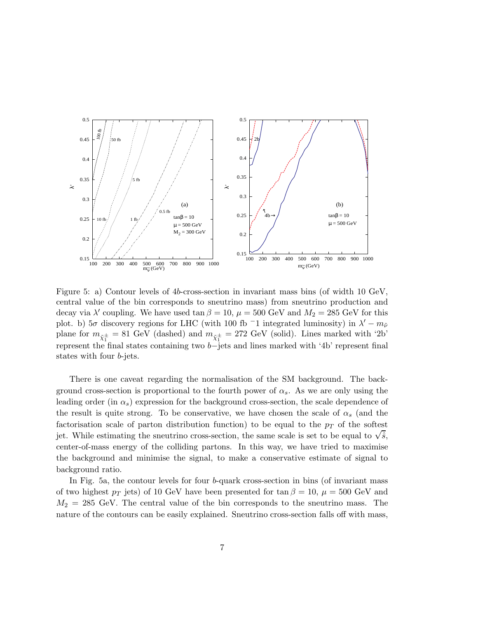

Figure 5: a) Contour levels of 4b-cross-section in invariant mass bins (of width 10 GeV, central value of the bin corresponds to sneutrino mass) from sneutrino production and decay via  $\lambda'$  coupling. We have used  $\tan \beta = 10$ ,  $\mu = 500$  GeV and  $M_2 = 285$  GeV for this plot. b)  $5\sigma$  discovery regions for LHC (with 100 fb <sup>-</sup>1 integrated luminosity) in  $\lambda' - m_{\tilde{\nu}}$ plane for  $m_{\tilde{\chi}_1^{\pm}} = 81$  GeV (dashed) and  $m_{\tilde{\chi}_1^{\pm}} = 272$  GeV (solid). Lines marked with '2b' represent the final states containing two b−jets and lines marked with '4b' represent final states with four b-jets.

There is one caveat regarding the normalisation of the SM background. The background cross-section is proportional to the fourth power of  $\alpha_s$ . As we are only using the leading order (in  $\alpha_s$ ) expression for the background cross-section, the scale dependence of the result is quite strong. To be conservative, we have chosen the scale of  $\alpha_s$  (and the factorisation scale of parton distribution function) to be equal to the  $p<sub>T</sub>$  of the softest jet. While estimating the sneutrino cross-section, the same scale is set to be equal to  $\sqrt{\hat{s}}$ , center-of-mass energy of the colliding partons. In this way, we have tried to maximise the background and minimise the signal, to make a conservative estimate of signal to background ratio.

In Fig. 5a, the contour levels for four b-quark cross-section in bins (of invariant mass of two highest  $p_T$  jets) of 10 GeV have been presented for tan  $\beta = 10$ ,  $\mu = 500$  GeV and  $M_2 = 285$  GeV. The central value of the bin corresponds to the sneutrino mass. The nature of the contours can be easily explained. Sneutrino cross-section falls off with mass,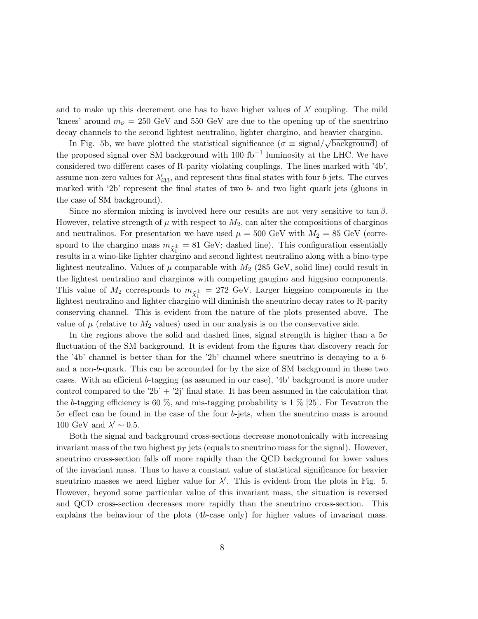and to make up this decrement one has to have higher values of  $\lambda'$  coupling. The mild 'knees' around  $m_{\tilde{\nu}} = 250$  GeV and 550 GeV are due to the opening up of the sneutrino decay channels to the second lightest neutralino, lighter chargino, and heavier chargino.

In Fig. 5b, we have plotted the statistical significance ( $\sigma \equiv$  signal/ $\sqrt{\text{background}}$ ) of the proposed signal over SM background with 100 fb<sup>-1</sup> luminosity at the LHC. We have considered two different cases of R-parity violating couplings. The lines marked with '4b', assume non-zero values for  $\lambda'_{33}$ , and represent thus final states with four b-jets. The curves marked with '2b' represent the final states of two  $b$ - and two light quark jets (gluons in the case of SM background).

Since no sfermion mixing is involved here our results are not very sensitive to  $\tan \beta$ . However, relative strength of  $\mu$  with respect to  $M_2$ , can alter the compositions of charginos and neutralinos. For presentation we have used  $\mu = 500$  GeV with  $M_2 = 85$  GeV (correspond to the chargino mass  $m_{\tilde{\chi}_1^{\pm}} = 81$  GeV; dashed line). This configuration essentially results in a wino-like lighter chargino and second lightest neutralino along with a bino-type lightest neutralino. Values of  $\mu$  comparable with  $M_2$  (285 GeV, solid line) could result in the lightest neutralino and charginos with competing gaugino and higgsino components. This value of  $M_2$  corresponds to  $m_{\tilde{\chi}_1^{\pm}} = 272$  GeV. Larger higgsino components in the lightest neutralino and lighter chargino will diminish the sneutrino decay rates to R-parity conserving channel. This is evident from the nature of the plots presented above. The value of  $\mu$  (relative to  $M_2$  values) used in our analysis is on the conservative side.

In the regions above the solid and dashed lines, signal strength is higher than a  $5\sigma$ fluctuation of the SM background. It is evident from the figures that discovery reach for the '4b' channel is better than for the '2b' channel where sneutrino is decaying to a band a non-b-quark. This can be accounted for by the size of SM background in these two cases. With an efficient b-tagging (as assumed in our case), '4b' background is more under control compared to the '2b' + '2j' final state. It has been assumed in the calculation that the b-tagging efficiency is 60  $\%$ , and mis-tagging probability is 1  $\%$  [25]. For Tevatron the  $5\sigma$  effect can be found in the case of the four b-jets, when the sneutrino mass is around 100 GeV and  $\lambda' \sim 0.5$ .

Both the signal and background cross-sections decrease monotonically with increasing invariant mass of the two highest  $p<sub>T</sub>$  jets (equals to sneutrino mass for the signal). However, sneutrino cross-section falls off more rapidly than the QCD background for lower values of the invariant mass. Thus to have a constant value of statistical significance for heavier sneutrino masses we need higher value for  $\lambda'$ . This is evident from the plots in Fig. 5. However, beyond some particular value of this invariant mass, the situation is reversed and QCD cross-section decreases more rapidly than the sneutrino cross-section. This explains the behaviour of the plots (4b-case only) for higher values of invariant mass.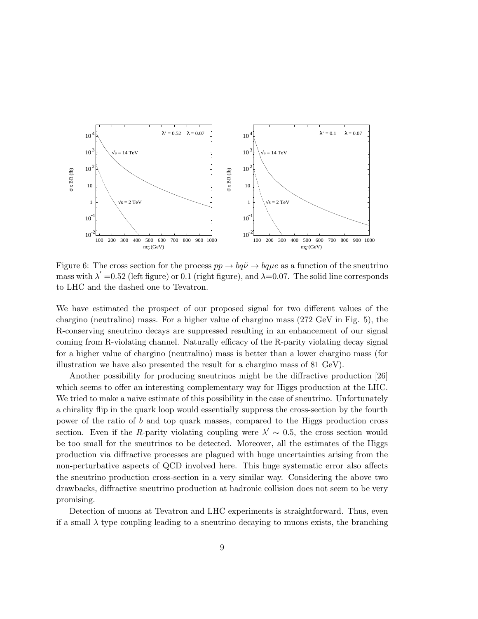

Figure 6: The cross section for the process  $pp \to bq\tilde{\nu} \to bq\mu e$  as a function of the sneutrino mass with  $\lambda' = 0.52$  (left figure) or 0.1 (right figure), and  $\lambda = 0.07$ . The solid line corresponds to LHC and the dashed one to Tevatron.

We have estimated the prospect of our proposed signal for two different values of the chargino (neutralino) mass. For a higher value of chargino mass (272 GeV in Fig. 5), the R-conserving sneutrino decays are suppressed resulting in an enhancement of our signal coming from R-violating channel. Naturally efficacy of the R-parity violating decay signal for a higher value of chargino (neutralino) mass is better than a lower chargino mass (for illustration we have also presented the result for a chargino mass of 81 GeV).

Another possibility for producing sneutrinos might be the diffractive production [26] which seems to offer an interesting complementary way for Higgs production at the LHC. We tried to make a naive estimate of this possibility in the case of sneutrino. Unfortunately a chirality flip in the quark loop would essentially suppress the cross-section by the fourth power of the ratio of b and top quark masses, compared to the Higgs production cross section. Even if the R-parity violating coupling were  $\lambda' \sim 0.5$ , the cross section would be too small for the sneutrinos to be detected. Moreover, all the estimates of the Higgs production via diffractive processes are plagued with huge uncertainties arising from the non-perturbative aspects of QCD involved here. This huge systematic error also affects the sneutrino production cross-section in a very similar way. Considering the above two drawbacks, diffractive sneutrino production at hadronic collision does not seem to be very promising.

Detection of muons at Tevatron and LHC experiments is straightforward. Thus, even if a small  $\lambda$  type coupling leading to a sneutrino decaying to muons exists, the branching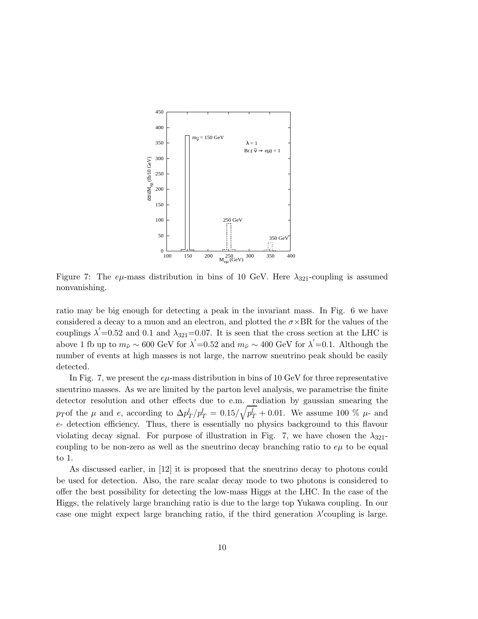

Figure 7: The  $e\mu$ -mass distribution in bins of 10 GeV. Here  $\lambda_{321}$ -coupling is assumed nonvanishing.

ratio may be big enough for detecting a peak in the invariant mass. In Fig. 6 we have considered a decay to a muon and an electron, and plotted the  $\sigma \times BR$  for the values of the couplings  $\lambda' = 0.52$  and 0.1 and  $\lambda_{321} = 0.07$ . It is seen that the cross section at the LHC is above 1 fb up to  $m_{\tilde{\nu}} \sim 600$  GeV for  $\lambda' = 0.52$  and  $m_{\tilde{\nu}} \sim 400$  GeV for  $\lambda' = 0.1$ . Although the number of events at high masses is not large, the narrow sneutrino peak should be easily detected.

In Fig. 7, we present the  $e\mu$ -mass distribution in bins of 10 GeV for three representative sneutrino masses. As we are limited by the parton level analysis, we parametrise the finite detector resolution and other effects due to e.m. radiation by gaussian smearing the pT of the  $\mu$  and e, according to  $\Delta p_T^l/p_T^l = 0.15/\sqrt{p_T^l} + 0.01$ . We assume 100 %  $\mu$ - and e- detection efficiency. Thus, there is essentially no physics background to this flavour violating decay signal. For purpose of illustration in Fig. 7, we have chosen the  $\lambda_{321}$ coupling to be non-zero as well as the sneutrino decay branching ratio to  $e\mu$  to be equal to 1.

As discussed earlier, in [12] it is proposed that the sneutrino decay to photons could be used for detection. Also, the rare scalar decay mode to two photons is considered to offer the best possibility for detecting the low-mass Higgs at the LHC. In the case of the Higgs, the relatively large branching ratio is due to the large top Yukawa coupling. In our case one might expect large branching ratio, if the third generation  $\lambda$ 'coupling is large.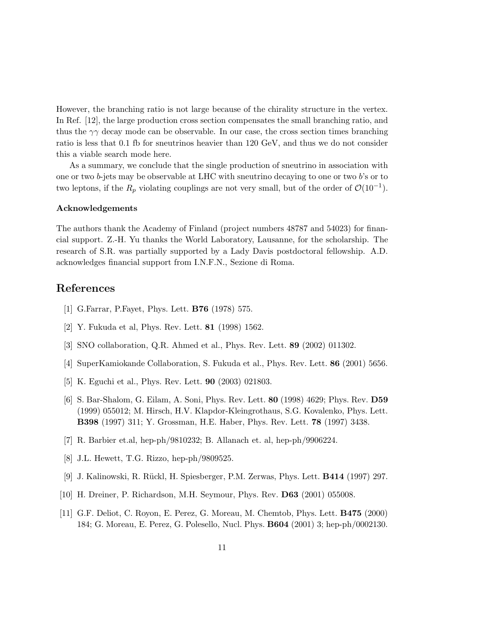However, the branching ratio is not large because of the chirality structure in the vertex. In Ref. [12], the large production cross section compensates the small branching ratio, and thus the  $\gamma\gamma$  decay mode can be observable. In our case, the cross section times branching ratio is less that 0.1 fb for sneutrinos heavier than 120 GeV, and thus we do not consider this a viable search mode here.

As a summary, we conclude that the single production of sneutrino in association with one or two  $b$ -jets may be observable at LHC with sneutrino decaying to one or two  $b$ 's or to two leptons, if the  $R_p$  violating couplings are not very small, but of the order of  $\mathcal{O}(10^{-1})$ .

#### Acknowledgements

The authors thank the Academy of Finland (project numbers 48787 and 54023) for financial support. Z.-H. Yu thanks the World Laboratory, Lausanne, for the scholarship. The research of S.R. was partially supported by a Lady Davis postdoctoral fellowship. A.D. acknowledges financial support from I.N.F.N., Sezione di Roma.

## References

- [1] G.Farrar, P.Fayet, Phys. Lett. B76 (1978) 575.
- [2] Y. Fukuda et al, Phys. Rev. Lett. 81 (1998) 1562.
- [3] SNO collaboration, Q.R. Ahmed et al., Phys. Rev. Lett. 89 (2002) 011302.
- [4] SuperKamiokande Collaboration, S. Fukuda et al., Phys. Rev. Lett. 86 (2001) 5656.
- [5] K. Eguchi et al., Phys. Rev. Lett. 90 (2003) 021803.
- [6] S. Bar-Shalom, G. Eilam, A. Soni, Phys. Rev. Lett. 80 (1998) 4629; Phys. Rev. D59 (1999) 055012; M. Hirsch, H.V. Klapdor-Kleingrothaus, S.G. Kovalenko, Phys. Lett. B398 (1997) 311; Y. Grossman, H.E. Haber, Phys. Rev. Lett. 78 (1997) 3438.
- [7] R. Barbier et.al, hep-ph/9810232; B. Allanach et. al, hep-ph/9906224.
- [8] J.L. Hewett, T.G. Rizzo, hep-ph/9809525.
- [9] J. Kalinowski, R. R¨uckl, H. Spiesberger, P.M. Zerwas, Phys. Lett. B414 (1997) 297.
- [10] H. Dreiner, P. Richardson, M.H. Seymour, Phys. Rev. D63 (2001) 055008.
- [11] G.F. Deliot, C. Royon, E. Perez, G. Moreau, M. Chemtob, Phys. Lett. B475 (2000) 184; G. Moreau, E. Perez, G. Polesello, Nucl. Phys. B604 (2001) 3; hep-ph/0002130.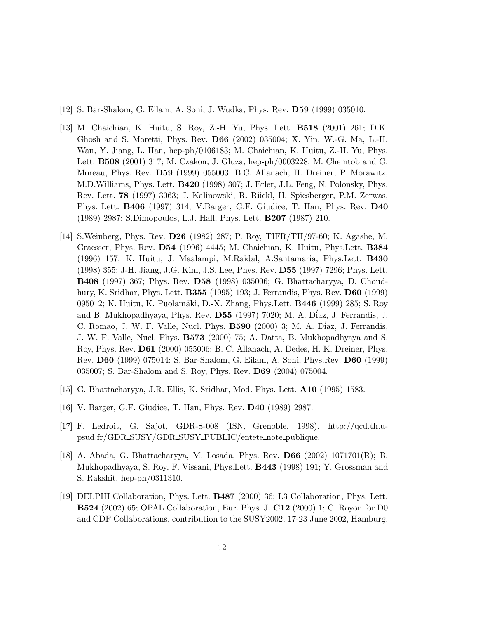- [12] S. Bar-Shalom, G. Eilam, A. Soni, J. Wudka, Phys. Rev. D59 (1999) 035010.
- [13] M. Chaichian, K. Huitu, S. Roy, Z.-H. Yu, Phys. Lett. B518 (2001) 261; D.K. Ghosh and S. Moretti, Phys. Rev. D66 (2002) 035004; X. Yin, W.-G. Ma, L.-H. Wan, Y. Jiang, L. Han, hep-ph/0106183; M. Chaichian, K. Huitu, Z.-H. Yu, Phys. Lett. B508 (2001) 317; M. Czakon, J. Gluza, hep-ph/0003228; M. Chemtob and G. Moreau, Phys. Rev. D59 (1999) 055003; B.C. Allanach, H. Dreiner, P. Morawitz, M.D.Williams, Phys. Lett. B420 (1998) 307; J. Erler, J.L. Feng, N. Polonsky, Phys. Rev. Lett. **78** (1997) 3063; J. Kalinowski, R. Rückl, H. Spiesberger, P.M. Zerwas, Phys. Lett. B406 (1997) 314; V.Barger, G.F. Giudice, T. Han, Phys. Rev. D40 (1989) 2987; S.Dimopoulos, L.J. Hall, Phys. Lett. B207 (1987) 210.
- [14] S.Weinberg, Phys. Rev. D26 (1982) 287; P. Roy, TIFR/TH/97-60; K. Agashe, M. Graesser, Phys. Rev. D54 (1996) 4445; M. Chaichian, K. Huitu, Phys.Lett. B384 (1996) 157; K. Huitu, J. Maalampi, M.Raidal, A.Santamaria, Phys.Lett. B430 (1998) 355; J-H. Jiang, J.G. Kim, J.S. Lee, Phys. Rev. D55 (1997) 7296; Phys. Lett. B408 (1997) 367; Phys. Rev. D58 (1998) 035006; G. Bhattacharyya, D. Choudhury, K. Sridhar, Phys. Lett. B355 (1995) 193; J. Ferrandis, Phys. Rev. D60 (1999) 095012; K. Huitu, K. Puolamäki, D.-X. Zhang, Phys.Lett. **B446** (1999) 285; S. Roy and B. Mukhopadhyaya, Phys. Rev. D55 (1997) 7020; M. A. D´iaz, J. Ferrandis, J. C. Romao, J. W. F. Valle, Nucl. Phys. **B590** (2000) 3; M. A. Díaz, J. Ferrandis, J. W. F. Valle, Nucl. Phys. B573 (2000) 75; A. Datta, B. Mukhopadhyaya and S. Roy, Phys. Rev. D61 (2000) 055006; B. C. Allanach, A. Dedes, H. K. Dreiner, Phys. Rev. D60 (1999) 075014; S. Bar-Shalom, G. Eilam, A. Soni, Phys.Rev. D60 (1999) 035007; S. Bar-Shalom and S. Roy, Phys. Rev. D69 (2004) 075004.
- [15] G. Bhattacharyya, J.R. Ellis, K. Sridhar, Mod. Phys. Lett. A10 (1995) 1583.
- [16] V. Barger, G.F. Giudice, T. Han, Phys. Rev. D40 (1989) 2987.
- [17] F. Ledroit, G. Sajot, GDR-S-008 (ISN, Grenoble, 1998), http://qcd.th.upsud.fr/GDR SUSY/GDR SUSY PUBLIC/entete note publique.
- [18] A. Abada, G. Bhattacharyya, M. Losada, Phys. Rev. D66 (2002) 1071701(R); B. Mukhopadhyaya, S. Roy, F. Vissani, Phys.Lett. B443 (1998) 191; Y. Grossman and S. Rakshit, hep-ph/0311310.
- [19] DELPHI Collaboration, Phys. Lett. B487 (2000) 36; L3 Collaboration, Phys. Lett. B524 (2002) 65; OPAL Collaboration, Eur. Phys. J. C12 (2000) 1; C. Royon for D0 and CDF Collaborations, contribution to the SUSY2002, 17-23 June 2002, Hamburg.